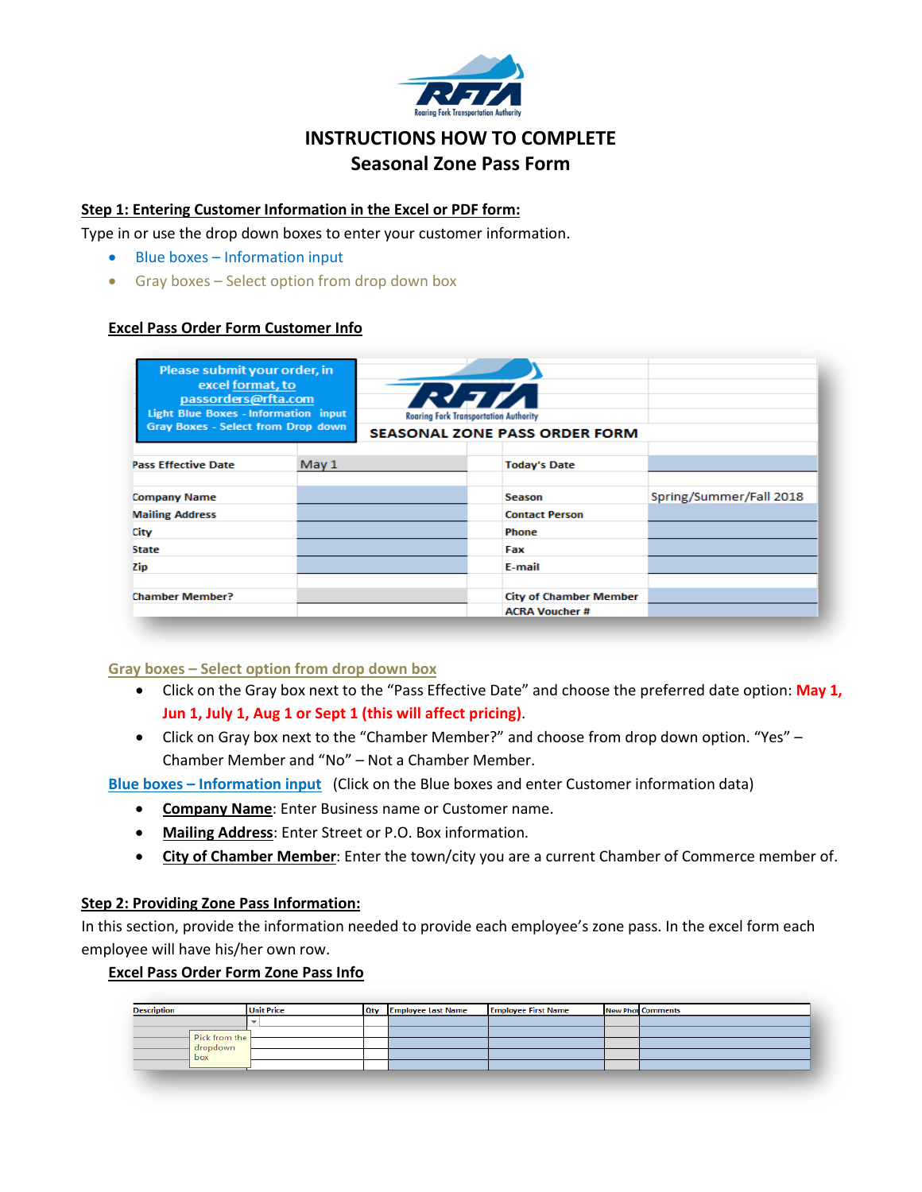

# **INSTRUCTIONS HOW TO COMPLETE Seasonal Zone Pass Form**

## **Step 1: Entering Customer Information in the Excel or PDF form:**

Type in or use the drop down boxes to enter your customer information.

- Blue boxes Information input
- Gray boxes Select option from drop down box

## **Excel Pass Order Form Customer Info**

| Please submit your order, in<br>excel format, to<br>passorders@rfta.com<br><b>Light Blue Boxes - Information input</b><br>Gray Boxes - Select from Drop down |       | Rah<br>Roaring Fork Transportation Authority<br><b>SEASONAL ZONE PASS ORDER FORM</b> |                               |                         |
|--------------------------------------------------------------------------------------------------------------------------------------------------------------|-------|--------------------------------------------------------------------------------------|-------------------------------|-------------------------|
| <b>Pass Effective Date</b>                                                                                                                                   | May 1 |                                                                                      | <b>Today's Date</b>           |                         |
| <b>Company Name</b>                                                                                                                                          |       |                                                                                      | Season                        | Spring/Summer/Fall 2018 |
| <b>Mailing Address</b>                                                                                                                                       |       |                                                                                      | <b>Contact Person</b>         |                         |
| City                                                                                                                                                         |       |                                                                                      | <b>Phone</b>                  |                         |
| <b>State</b>                                                                                                                                                 |       |                                                                                      | Fax                           |                         |
| Zip                                                                                                                                                          |       |                                                                                      | E-mail                        |                         |
| <b>Chamber Member?</b>                                                                                                                                       |       |                                                                                      | <b>City of Chamber Member</b> |                         |
|                                                                                                                                                              |       |                                                                                      | <b>ACRA Voucher#</b>          |                         |

## **Gray boxes – Select option from drop down box**

- Click on the Gray box next to the "Pass Effective Date" and choose the preferred date option: **May 1, Jun 1, July 1, Aug 1 or Sept 1 (this will affect pricing)**.
- Click on Gray box next to the "Chamber Member?" and choose from drop down option. "Yes" Chamber Member and "No" – Not a Chamber Member.

**Blue boxes – Information input** (Click on the Blue boxes and enter Customer information data)

- **Company Name**: Enter Business name or Customer name.
- **Mailing Address**: Enter Street or P.O. Box information.
- **City of Chamber Member**: Enter the town/city you are a current Chamber of Commerce member of.

#### **Step 2: Providing Zone Pass Information:**

In this section, provide the information needed to provide each employee's zone pass. In the excel form each employee will have his/her own row.

#### **Excel Pass Order Form Zone Pass Info**

| <b>Description</b> | <b>Unit Price</b> | Qty | <b>Employee Last Name</b> | <b>Employee First Name</b> | <b>New Phot Comments</b> |
|--------------------|-------------------|-----|---------------------------|----------------------------|--------------------------|
|                    |                   |     |                           |                            |                          |
| Pick from the      |                   |     |                           |                            |                          |
| dropdown           |                   |     |                           |                            |                          |
| box                |                   |     |                           |                            |                          |
|                    |                   |     |                           |                            |                          |
|                    |                   |     |                           |                            |                          |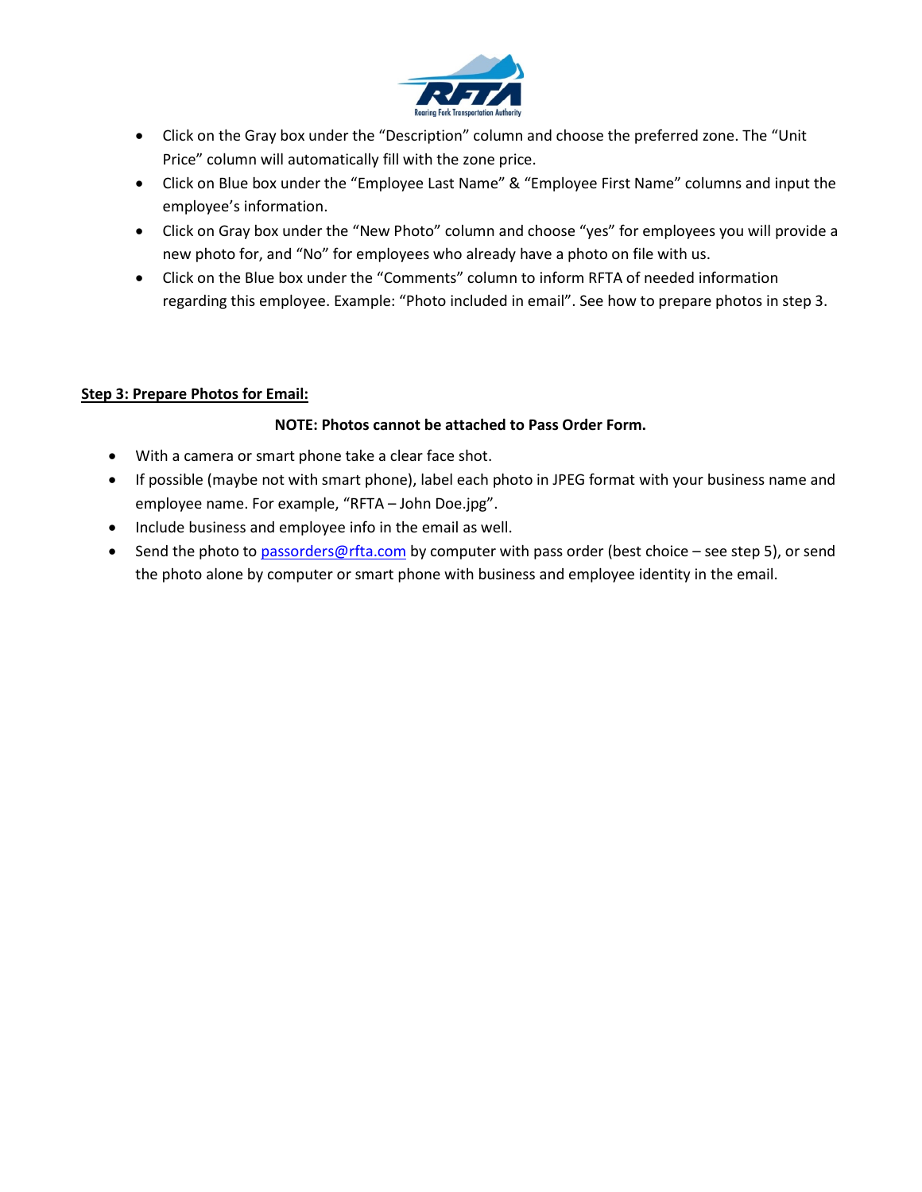

- Click on the Gray box under the "Description" column and choose the preferred zone. The "Unit Price" column will automatically fill with the zone price.
- Click on Blue box under the "Employee Last Name" & "Employee First Name" columns and input the employee's information.
- Click on Gray box under the "New Photo" column and choose "yes" for employees you will provide a new photo for, and "No" for employees who already have a photo on file with us.
- Click on the Blue box under the "Comments" column to inform RFTA of needed information regarding this employee. Example: "Photo included in email". See how to prepare photos in step 3.

# **Step 3: Prepare Photos for Email:**

# **NOTE: Photos cannot be attached to Pass Order Form.**

- With a camera or smart phone take a clear face shot.
- If possible (maybe not with smart phone), label each photo in JPEG format with your business name and employee name. For example, "RFTA – John Doe.jpg".
- Include business and employee info in the email as well.
- Send the photo to [passorders@rfta.com](mailto:passorders@rfta.com) by computer with pass order (best choice see step 5), or send the photo alone by computer or smart phone with business and employee identity in the email.